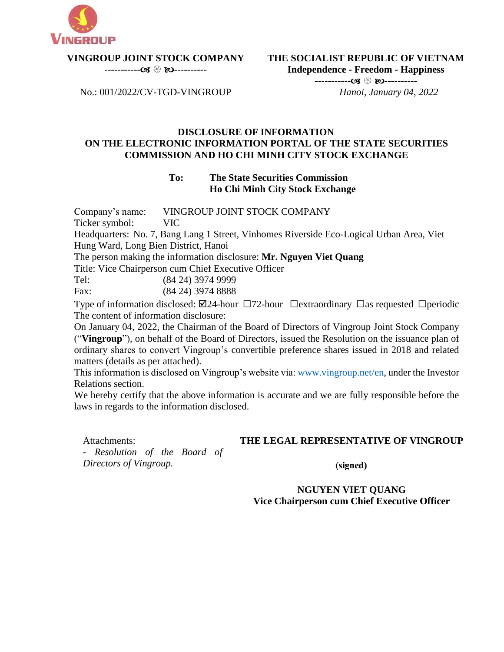

**VINGROUP JOINT STOCK COMPANY** 

----------- ----------

**THE SOCIALIST REPUBLIC OF VIETNAM Independence - Freedom - Happiness**

No.: 001/2022/CV-TGD-VINGROUP

----------- ----------  *Hanoi, January 04, 2022*

## **DISCLOSURE OF INFORMATION ON THE ELECTRONIC INFORMATION PORTAL OF THE STATE SECURITIES COMMISSION AND HO CHI MINH CITY STOCK EXCHANGE**

## **To: The State Securities Commission Ho Chi Minh City Stock Exchange**

Company's name: VINGROUP JOINT STOCK COMPANY

Ticker symbol: VIC

Headquarters: No. 7, Bang Lang 1 Street, Vinhomes Riverside Eco-Logical Urban Area, Viet Hung Ward, Long Bien District, Hanoi

The person making the information disclosure: **Mr. Nguyen Viet Quang**

Title: Vice Chairperson cum Chief Executive Officer

Tel: (84 24) 3974 9999

Fax: (84 24) 3974 8888

Type of information disclosed:  $\boxtimes$ 24-hour  $\Box$ 72-hour  $\Box$ extraordinary  $\Box$ as requested  $\Box$ periodic The content of information disclosure:

On January 04, 2022, the Chairman of the Board of Directors of Vingroup Joint Stock Company ("**Vingroup**"), on behalf of the Board of Directors, issued the Resolution on the issuance plan of ordinary shares to convert Vingroup's convertible preference shares issued in 2018 and related matters (details as per attached).

This information is disclosed on Vingroup's website via[: www.vingroup.net/en,](https://www.vingroup.net/en) under the Investor Relations section.

We hereby certify that the above information is accurate and we are fully responsible before the laws in regards to the information disclosed.

Attachments:

# **THE LEGAL REPRESENTATIVE OF VINGROUP**

- *Resolution of the Board of Directors of Vingroup.*

(signed)

## **NGUYEN VIET QUANG Vice Chairperson cum Chief Executive Officer**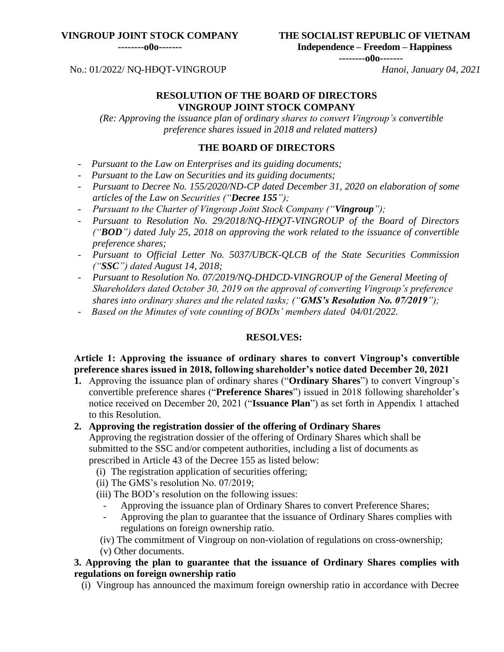#### **VINGROUP JOINT STOCK COMPANY**

**--------o0o-------**

**THE SOCIALIST REPUBLIC OF VIETNAM**

**Independence – Freedom – Happiness**

**--------o0o-------**

# No.: 01/2022/ NQ-HĐQT-VINGROUP *Hanoi, January 04, 2021*

### **RESOLUTION OF THE BOARD OF DIRECTORS VINGROUP JOINT STOCK COMPANY**

*(Re: Approving the issuance plan of ordinary shares to convert Vingroup's convertible preference shares issued in 2018 and related matters)*

## **THE BOARD OF DIRECTORS**

- *Pursuant to the Law on Enterprises and its guiding documents;*
- *Pursuant to the Law on Securities and its guiding documents;*
- *Pursuant to Decree No. 155/2020/ND-CP dated December 31, 2020 on elaboration of some articles of the Law on Securities ("Decree 155");*
- *Pursuant to the Charter of Vingroup Joint Stock Company ("Vingroup");*
- *Pursuant to Resolution No. 29/2018/NQ-HĐQT-VINGROUP of the Board of Directors ("BOD") dated July 25, 2018 on approving the work related to the issuance of convertible preference shares;*
- *Pursuant to Official Letter No. 5037/UBCK-QLCB of the State Securities Commission ("SSC") dated August 14, 2018;*
- *Pursuant to Resolution No. 07/2019/NQ-DHDCD-VINGROUP of the General Meeting of Shareholders dated October 30, 2019 on the approval of converting Vingroup's preference shares into ordinary shares and the related tasks; ("GMS's Resolution No. 07/2019");*
- *Based on the Minutes of vote counting of BODs' members dated 04/01/2022.*

## **RESOLVES:**

# **Article 1: Approving the issuance of ordinary shares to convert Vingroup's convertible preference shares issued in 2018, following shareholder's notice dated December 20, 2021**

**1.** Approving the issuance plan of ordinary shares ("**Ordinary Shares**") to convert Vingroup's convertible preference shares ("**Preference Shares**") issued in 2018 following shareholder's notice received on December 20, 2021 ("**Issuance Plan**") as set forth in Appendix 1 attached to this Resolution.

## **2. Approving the registration dossier of the offering of Ordinary Shares**

Approving the registration dossier of the offering of Ordinary Shares which shall be submitted to the SSC and/or competent authorities, including a list of documents as prescribed in Article 43 of the Decree 155 as listed below:

- (i) The registration application of securities offering;
- (ii) The GMS's resolution No. 07/2019;
- (iii) The BOD's resolution on the following issues:
	- Approving the issuance plan of Ordinary Shares to convert Preference Shares;
	- Approving the plan to guarantee that the issuance of Ordinary Shares complies with regulations on foreign ownership ratio.
- (iv) The commitment of Vingroup on non-violation of regulations on cross-ownership;
- (v) Other documents.

# **3. Approving the plan to guarantee that the issuance of Ordinary Shares complies with regulations on foreign ownership ratio**

(i) Vingroup has announced the maximum foreign ownership ratio in accordance with Decree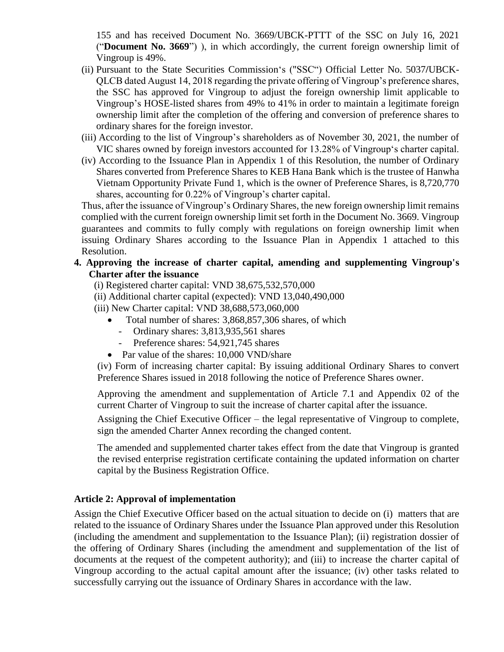155 and has received Document No. 3669/UBCK-PTTT of the SSC on July 16, 2021 ("**Document No. 3669**") ), in which accordingly, the current foreign ownership limit of Vingroup is 49%.

- (ii) Pursuant to the State Securities Commission's ("SSC") Official Letter No. 5037**/**UBCK-QLCB dated August 14, 2018 regarding the private offering of Vingroup's preference shares, the SSC has approved for Vingroup to adjust the foreign ownership limit applicable to Vingroup's HOSE-listed shares from 49% to 41% in order to maintain a legitimate foreign ownership limit after the completion of the offering and conversion of preference shares to ordinary shares for the foreign investor.
- (iii) According to the list of Vingroup's shareholders as of November 30, 2021, the number of VIC shares owned by foreign investors accounted for 13.28% of Vingroup's charter capital.
- (iv) According to the Issuance Plan in Appendix 1 of this Resolution, the number of Ordinary Shares converted from Preference Shares to KEB Hana Bank which is the trustee of Hanwha Vietnam Opportunity Private Fund 1, which is the owner of Preference Shares, is 8,720,770 shares, accounting for 0.22% of Vingroup's charter capital.

Thus, after the issuance of Vingroup's Ordinary Shares, the new foreign ownership limit remains complied with the current foreign ownership limit set forth in the Document No. 3669. Vingroup guarantees and commits to fully comply with regulations on foreign ownership limit when issuing Ordinary Shares according to the Issuance Plan in Appendix 1 attached to this Resolution.

## **4. Approving the increase of charter capital, amending and supplementing Vingroup's Charter after the issuance**

- (i) Registered charter capital: VND 38,675,532,570,000
- (ii) Additional charter capital (expected): VND 13,040,490,000
- (iii) New Charter capital: VND 38,688,573,060,000
	- Total number of shares: 3,868,857,306 shares, of which
		- Ordinary shares: 3,813,935,561 shares
		- Preference shares: 54,921,745 shares
	- Par value of the shares: 10,000 VND/share

(iv) Form of increasing charter capital: By issuing additional Ordinary Shares to convert Preference Shares issued in 2018 following the notice of Preference Shares owner.

Approving the amendment and supplementation of Article 7.1 and Appendix 02 of the current Charter of Vingroup to suit the increase of charter capital after the issuance.

Assigning the Chief Executive Officer – the legal representative of Vingroup to complete, sign the amended Charter Annex recording the changed content.

The amended and supplemented charter takes effect from the date that Vingroup is granted the revised enterprise registration certificate containing the updated information on charter capital by the Business Registration Office.

# **Article 2: Approval of implementation**

Assign the Chief Executive Officer based on the actual situation to decide on (i) matters that are related to the issuance of Ordinary Shares under the Issuance Plan approved under this Resolution (including the amendment and supplementation to the Issuance Plan); (ii) registration dossier of the offering of Ordinary Shares (including the amendment and supplementation of the list of documents at the request of the competent authority); and (iii) to increase the charter capital of Vingroup according to the actual capital amount after the issuance; (iv) other tasks related to successfully carrying out the issuance of Ordinary Shares in accordance with the law.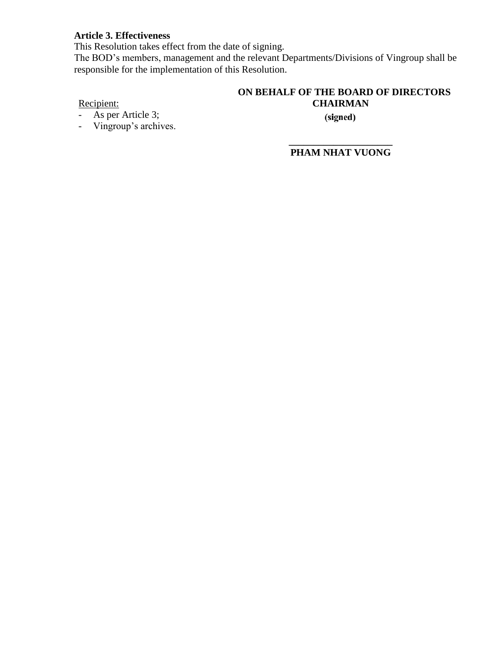## **Article 3. Effectiveness**

This Resolution takes effect from the date of signing.

The BOD's members, management and the relevant Departments/Divisions of Vingroup shall be responsible for the implementation of this Resolution.

## **ON BEHALF OF THE BOARD OF DIRECTORS CHAIRMAN**

Recipient:

- As per Article 3;
- Vingroup's archives.

(signed)

**\_\_\_\_\_\_\_\_\_\_\_\_\_\_\_\_\_\_\_\_\_ PHAM NHAT VUONG**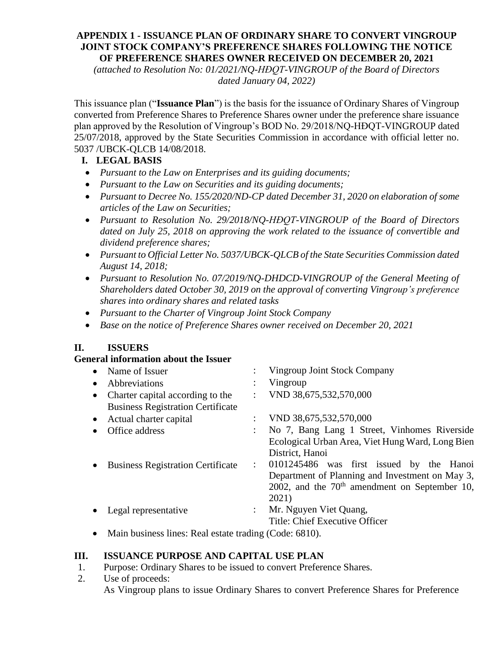## **APPENDIX 1 - ISSUANCE PLAN OF ORDINARY SHARE TO CONVERT VINGROUP JOINT STOCK COMPANY'S PREFERENCE SHARES FOLLOWING THE NOTICE OF PREFERENCE SHARES OWNER RECEIVED ON DECEMBER 20, 2021**

*(attached to Resolution No: 01/2021/NQ-HĐQT-VINGROUP of the Board of Directors dated January 04, 2022)*

This issuance plan ("**Issuance Plan**") is the basis for the issuance of Ordinary Shares of Vingroup converted from Preference Shares to Preference Shares owner under the preference share issuance plan approved by the Resolution of Vingroup's BOD No. 29/2018/NQ-HĐQT-VINGROUP dated 25/07/2018, approved by the State Securities Commission in accordance with official letter no. 5037 /UBCK-QLCB 14/08/2018.

# **I. LEGAL BASIS**

- *Pursuant to the Law on Enterprises and its guiding documents;*
- *Pursuant to the Law on Securities and its guiding documents;*
- *Pursuant to Decree No. 155/2020/ND-CP dated December 31, 2020 on elaboration of some articles of the Law on Securities;*
- *Pursuant to Resolution No. 29/2018/NQ-HĐQT-VINGROUP of the Board of Directors dated on July 25, 2018 on approving the work related to the issuance of convertible and dividend preference shares;*
- *Pursuant to Official Letter No. 5037/UBCK-QLCB of the State Securities Commission dated August 14, 2018;*
- Pursuant to Resolution No. 07/2019/NQ-DHDCD-VINGROUP of the General Meeting of *Shareholders dated October 30, 2019 on the approval of converting Vingroup's preference shares into ordinary shares and related tasks*
- *Pursuant to the Charter of Vingroup Joint Stock Company*
- *Base on the notice of Preference Shares owner received on December 20, 2021*

# **II. ISSUERS**

# **General information about the Issuer**

|           | Name of Issuer                           | Vingroup Joint Stock Company                     |
|-----------|------------------------------------------|--------------------------------------------------|
| $\bullet$ | Abbreviations                            | Vingroup                                         |
| ٠         | Charter capital according to the         | VND 38,675,532,570,000                           |
|           | <b>Business Registration Certificate</b> |                                                  |
|           | Actual charter capital                   | VND 38,675,532,570,000                           |
|           | Office address                           | No 7, Bang Lang 1 Street, Vinhomes Riverside     |
|           |                                          | Ecological Urban Area, Viet Hung Ward, Long Bien |
|           |                                          | District, Hanoi                                  |
|           | <b>Business Registration Certificate</b> | 0101245486 was first issued by the Hanoi         |
|           |                                          | Department of Planning and Investment on May 3,  |
|           |                                          | 2002, and the $70th$ amendment on September 10,  |
|           |                                          | 2021)                                            |
|           | Legal representative                     | Mr. Nguyen Viet Quang,                           |
|           |                                          | Title: Chief Executive Officer                   |
|           |                                          |                                                  |

• Main business lines: Real estate trading (Code: 6810).

# **III. ISSUANCE PURPOSE AND CAPITAL USE PLAN**

- 1. Purpose: Ordinary Shares to be issued to convert Preference Shares.
- 2. Use of proceeds: As Vingroup plans to issue Ordinary Shares to convert Preference Shares for Preference